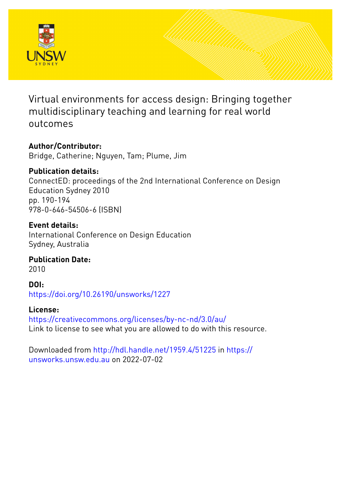

Virtual environments for access design: Bringing together multidisciplinary teaching and learning for real world outcomes

### **Author/Contributor:**

Bridge, Catherine; Nguyen, Tam; Plume, Jim

### **Publication details:**

ConnectED: proceedings of the 2nd International Conference on Design Education Sydney 2010 pp. 190-194 978-0-646-54506-6 (ISBN)

### **Event details:**

International Conference on Design Education Sydney, Australia

## **Publication Date:**

2010

**DOI:** [https://doi.org/10.26190/unsworks/1227](http://dx.doi.org/https://doi.org/10.26190/unsworks/1227)

### **License:**

<https://creativecommons.org/licenses/by-nc-nd/3.0/au/> Link to license to see what you are allowed to do with this resource.

Downloaded from <http://hdl.handle.net/1959.4/51225> in [https://](https://unsworks.unsw.edu.au) [unsworks.unsw.edu.au](https://unsworks.unsw.edu.au) on 2022-07-02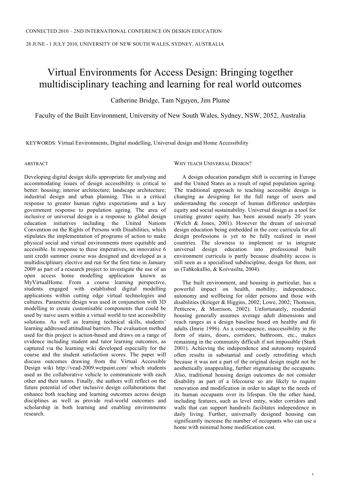28 JUNE - 1 JULY 2010, UNIVERSITY OF NEW SOUTH WALES, SYDNEY, AUSTRALIA

# Virtual Environments for Access Design: Bringing together multidisciplinary teaching and learning for real world outcomes

Catherine Bridge, Tam Nguyen, Jim Plume

Faculty of the Built Environment, University of New South Wales, Sydney, NSW, 2052, Australia

KEYWORDS: Virtual Environments, Digital modelling, Universal design and Home Accessibility

ABSTRACT

Developing digital design skills appropriate for analysing and accommodating issues of design accessibility is critical to better: housing; interior architecture; landscape architecture; industrial design and urban planning. This is a critical response to greater human rights expectations and a key government response to population ageing. The area of inclusive or universal design is a response to global design education initiatives including the United Nations Convention on the Rights of Persons with Disabilities, which stipulates the implementation of programs of action to make physical social and virtual environments more equitable and accessible. In response to these imperatives, an innovative 6 unit credit summer course was designed and developed as a multidisciplinary elective and run for the first time in January 2009 as part of a research project to investigate the use of an open access home modelling application known as MyVirtualHome. From a course learning perspective, students engaged with established digital modelling applications within cutting edge virtual technologies and cultures. Parametric design was used in conjunction with 3D modelling to create customisable components that could be used by naive users within a virtual world to test accessibility solutions. As well as learning technical skills, students' learning addressed attitudinal barriers. The evaluation method used for this project is action-based and draws on a range of evidence including student and tutor learning outcomes, as captured via the learning wiki developed especially for the course and the student satisfaction scores. The paper will discuss outcomes drawing from the Virtual Accessible Design wiki http://vead-2009.wetpaint.com/ which students used as the collaborative vehicle to communicate with each other and their tutors. Finally, the authors will reflect on the future potential of other inclusive design collaborations that enhance both teaching and learning outcomes across design disciplines as well as provide real-world outcomes and scholarship in both learning and enabling environments research.

WHY TEACH UNIVERSAL DESIGN?

A design education paradigm shift is occurring in Europe and the United States as a result of rapid population ageing. The traditional approach to teaching accessible design is changing as designing for the full range of users and understanding the concept of human difference underpins equity and social sustainability. Universal design as a tool for creating greater equity has been around nearly 20 years (Welch & Jones, 2001). However the dream of universal design education being embedded in the core curricula for all design professions is yet to be fully realized in most countries. The slowness to implement or to integrate universal design education into professional built environment curricula is partly because disability access is still seen as a specialised subdiscipline, design for them, not us (Tahkokallio, & Koivusilta, 2004).

The built environment, and housing in particular, has a powerful impact on health, mobility, independence, autonomy and wellbeing for older persons and those with disabilities (Krieger & Higgins, 2002; Lowe, 2002; Thomson, Petticrew, & Morrison, 2002). Unfortunately, residential housing generally assumes average adult dimensions and reach ranges as a design baseline based on healthy and fit adults (Imrie 1996). As a consequence, inaccessibility in the form of stairs, doors, corridors, bathroom, etc., makes remaining in the community difficult if not impossible (Stark 2001). Achieving the independence and autonomy required often results in substantial and costly retrofitting which because it was not a part of the original design might not be aesthetically unappealing, further stigmatising the occupants. Also, traditional housing design outcomes do not consider disability as part of a lifecourse so are likely to require renovation and modification in order to adapt to the needs of its human occupants over its lifespan. On the other hand, including features, such as level entry, wider corridors and walls that can support handrails facilitates independence in daily living. Further, universally designed housing can significantly increase the number of occupants who can use a home with minimal home modification cost.

1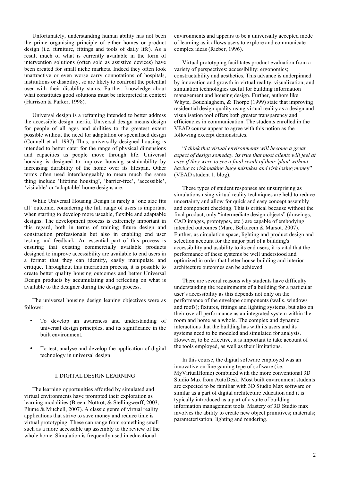Unfortunately, understanding human ability has not been the prime organising principle of either homes or product design (i.e. furniture, fittings and tools of daily life). As a result much of what is currently available in the form of intervention solutions (often sold as assistive devices) have been created for small niche markets. Indeed they often look unattractive or even worse carry connotations of hospitals, institutions or disability, so are likely to confront the potential user with their disability status. Further, knowledge about what constitutes good solutions must be interpreted in context (Harrison & Parker, 1998).

Universal design is a reframing intended to better address the accessible design inertia. Universal design means design for people of all ages and abilities to the greatest extent possible without the need for adaptation or specialised design (Connell et al. 1997) Thus, universally designed housing is intended to better cater for the range of physical dimensions and capacities as people move through life. Universal housing is designed to improve housing sustainability by increasing durability of the home over its lifespan. Other terms often used interchangeably to mean much the same thing include 'lifetime housing', 'barrier-free', 'accessible', 'visitable' or 'adaptable' home designs are.

While Universal Housing Design is rarely a 'one size fits all' outcome, considering the full range of users is important when starting to develop more useable, flexible and adaptable designs. The development process is extremely important in this regard, both in terms of training future design and construction professionals but also in enabling end user testing and feedback. An essential part of this process is ensuring that existing commercially available products designed to improve accessibility are available to end users in a format that they can identify, easily manipulate and critique. Throughout this interaction process, it is possible to create better quality housing outcomes and better Universal Design products by accumulating and reflecting on what is available to the designer during the design process.

The universal housing design leaning objectives were as follows:

- To develop an awareness and understanding of universal design principles, and its significance in the built environment.
- To test, analyse and develop the application of digital technology in universal design.

### I. DIGITAL DESIGN LEARNING

The learning opportunities afforded by simulated and virtual environments have prompted their exploration as learning modalities (Breen, Nottrot, & Stellingwerff, 2003; Plume & Mitchell, 2007). A classic genre of virtual reality applications that strive to save money and reduce time is virtual prototyping. These can range from something small such as a more accessible tap assembly to the review of the whole home. Simulation is frequently used in educational

environments and appears to be a universally accepted mode of learning as it allows users to explore and communicate complex ideas (Rieber, 1996).

Virtual prototyping facilitates product evaluation from a variety of perspectives: accessibility; ergonomics; constructability and aesthetics. This advance is underpinned by innovation and growth in virtual reality, visualization, and simulation technologies useful for building information management and housing design. Further, authors like Whyte, Bouchlaghem, & Thorpe (1999) state that improving residential design quality using virtual reality as a design and visualisation tool offers both greater transparency and efficiencies in communication. The students enrolled in the VEAD course appear to agree with this notion as the following excerpt demonstrates.

"*I think that virtual environments will become a great aspect of design someday. its true that most clients will feel at ease if they were to see a final result of their 'plan' without having to risk making huge mistakes and risk losing mone*y" (VEAD student 1, blog).

These types of student responses are unsurprising as simulations using virtual reality techniques are held to reduce uncertainty and allow for quick and easy concept assembly and component checking. This is critical because without the final product, only "intermediate design objects" (drawings, CAD images, prototypes, etc.) are capable of embodying intended outcomes (Marc, Belkacem & Marsot. 2007). Further, as circulation space, lighting and product design and selection account for the major part of a building's accessibility and usability to its end users, it is vital that the performance of these systems be well understood and optimized in order that better house building and interior architecture outcomes can be achieved.

There are several reasons why students have difficulty understanding the requirements of a building for a particular user's accessibility as this depends not only on the performance of the envelope components (walls, windows and roofs); fixtures, fittings and lighting systems, but also on their overall performance as an integrated system within the room and home as a whole. The complex and dynamic interactions that the building has with its users and its systems need to be modeled and simulated for analysis. However, to be effective, it is important to take account of the tools employed, as well as their limitations.

In this course, the digital software employed was an innovative on-line gaming type of software (i.e. MyVirtualHome) combined with the more conventional 3D Studio Max from AutoDesk. Most built environment students are expected to be familiar with 3D Studio Max software or similar as a part of digital architecture education and it is typically introduced as a part of a suite of building information management tools. Mastery of 3D Studio max involves the ability to create new object primitives; materials; parameterisation; lighting and rendering.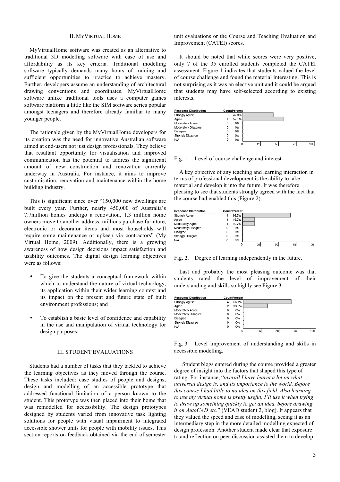### II. MYVIRTUAL HOME

MyVirtualHome software was created as an alternative to traditional 3D modelling software with ease of use and affordability as its key criteria. Traditional modelling software typically demands many hours of training and sufficient opportunities to practice to achieve mastery. Further, developers assume an understanding of architectural drawing conventions and coordinates. MyVirtualHome software unlike traditional tools uses a computer games software platform a little like the SIM software series popular amongst teenagers and therefore already familiar to many younger people.

The rationale given by the MyVirtualHome developers for its creation was the need for innovative Australian software aimed at end-users not just design professionals. They believe that resultant opportunity for visualisation and improved communication has the potential to address the significant amount of new construction and renovation currently underway in Australia. For instance, it aims to improve customisation, renovation and maintenance within the home building industry.

This is significant since over "150,000 new dwellings are built every year. Further, nearly 450,000 of Australia's 7.7million homes undergo a renovation, 1.3 million home owners move to another address, millions purchase furniture, electronic or decorator items and most households will require some maintenance or upkeep via contractors" (My Virtual Home, 2009). Additionally, there is a growing awareness of how design decisions impact satisfaction and usability outcomes. The digital design learning objectives were as follows:

- To give the students a conceptual framework within which to understand the nature of virtual technology, its application within their wider learning context and its impact on the present and future state of built environment professions; and
- To establish a basic level of confidence and capability in the use and manipulation of virtual technology for design purposes.

#### III. STUDENT EVALUATIONS

Students had a number of tasks that they tackled to achieve the learning objectives as they moved through the course. These tasks included: case studies of people and designs; design and modelling of an accessible prototype that addressed functional limitation of a person known to the student. This prototype was then placed into their home that was remodelled for accessibility. The design prototypes designed by students varied from innovative task lighting solutions for people with visual impairment to integrated accessible shower units for people with mobility issues. This section reports on feedback obtained via the end of semester unit evaluations or the Course and Teaching Evaluation and Improvement (CATEI) scores.

It should be noted that while scores were very positive, only 7 of the 35 enrolled students completed the CATEI assessment. Figure 1 indicates that students valued the level of course challenge and found the material interesting. This is not surprising as it was an elective unit and it could be argued that students may have self-selected according to existing interests.



Fig. 1. Level of course challenge and interest.

A key objective of any teaching and learning interaction in terms of professional development is the ability to take material and develop it into the future. It was therefore pleasing to see that students strongly agreed with the fact that the course had enabled this (Figure 2).



Fig. 2. Degree of learning independently in the future.

Last and probably the most pleasing outcome was that students rated the level of improvement of their understanding and skills so highly see Figure 3.

| <b>Response Distribution</b> |              | <b>CountPercent</b> |    |    |  |
|------------------------------|--------------|---------------------|----|----|--|
| <b>Strongly Agree</b>        | 4            | 66.7%               |    |    |  |
| Agree                        | 2            | 33.3%               |    |    |  |
| <b>Moderately Agree</b>      | $\mathbf 0$  | 0%                  |    |    |  |
| <b>Moderately Disagree</b>   | $\mathbf{0}$ | 0%                  |    |    |  |
| <b>Disagree</b>              | $\mathbf 0$  | 0%                  |    |    |  |
| <b>Strongly Disagree</b>     | $\mathbf 0$  | 0%                  |    |    |  |
| N/A                          | $\mathbf{0}$ | 0%                  |    |    |  |
|                              |              | $\mathbf 0$         | 25 | 50 |  |

Fig. 3 Level improvement of understanding and skills in accessible modelling.

Student blogs entered during the course provided a greater degree of insight into the factors that shaped this type of rating. For instance, "*overall I have learnt a lot on what universal design is, and its importance to the world. Before this course I had little to no idea on this field. Also learning to use my virtual home is pretty useful, I'll use it when trying to draw up something quickly to get an idea, before drawing it on AutoCAD etc.*" (VEAD student 2, blog). It appears that they valued the speed and ease of modelling, seeing it as an intermediary step in the more detailed modelling expected of design profession. Another student made clear that exposure to and reflection on peer-discussion assisted them to develop